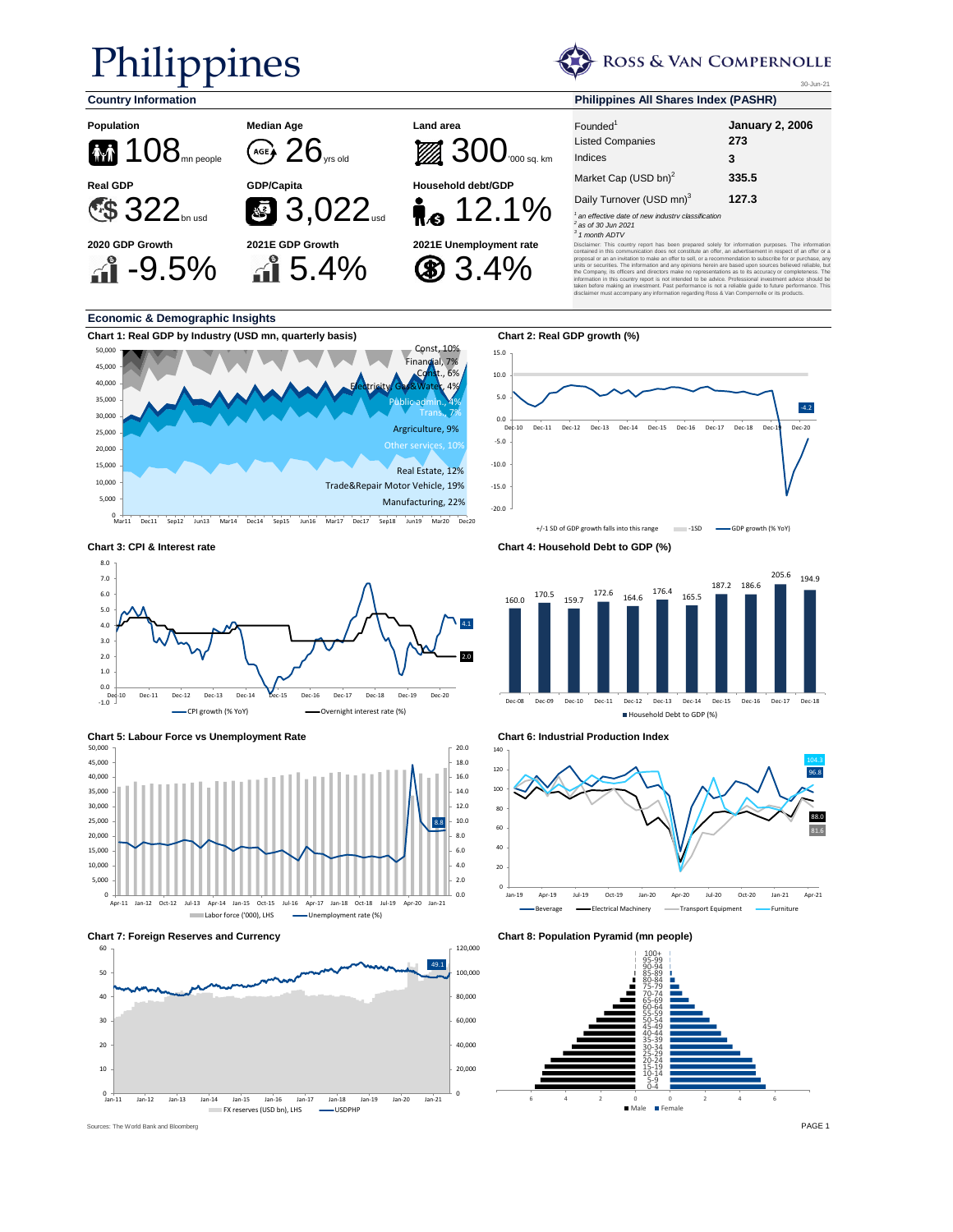## Philippines

ROSS & VAN COMPERNOLLE

30-Jun-21

-4.2



#### **Economic & Demographic Insights**









**Chart 3: CPI & Interest rate Chart 4: Household Debt to GDP (%)**

-20.0 -15.0 -10.0 -5.0 0.0 5.0 10.0 15.0



Dec-10 Dec-11 Dec-12 Dec-13 Dec-14 Dec-15 Dec-16 Dec-17 Dec-18 Dec-19 Dec-20

+/-1 SD of GDP growth falls into this range -1SD -GDP growth (% YoY)